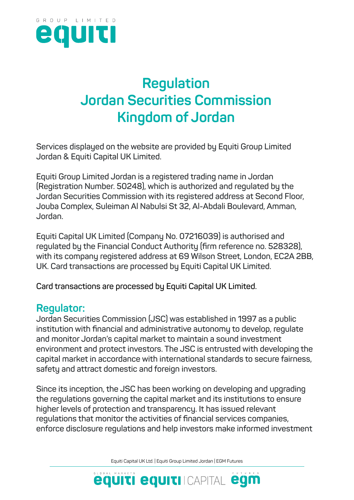

## **Regulation Jordan Securities Commission Kingdom of Jordan**

**Services displayed on the website are provided by Equiti Group Limited Jordan & Equiti Capital UK Limited.**

**Equiti Group Limited Jordan is a registered trading name in Jordan (Registration Number. 50248), which is authorized and regulated by the Jordan Securities Commission with its registered address at Second Floor, Jouba Complex, Suleiman Al Nabulsi St 32, Al-Abdali Boulevard, Amman, Jordan.**

**Equiti Capital UK Limited (Company No. 07216039) is authorised and regulated by the Financial Conduct Authority (firm reference no. 528328), with its company registered address at 69 Wilson Street, London, EC2A 2BB, UK. Card transactions are processed by Equiti Capital UK Limited.**

**Card transactions are processed by Equiti Capital UK Limited.**

## **Regulator:**

**Jordan Securities Commission (JSC) was established in 1997 as a public institution with financial and administrative autonomy to develop, regulate and monitor Jordan's capital market to maintain a sound investment environment and protect investors. The JSC is entrusted with developing the capital market in accordance with international standards to secure fairness, safety and attract domestic and foreign investors.**

**Since its inception, the JSC has been working on developing and upgrading the regulations governing the capital market and its institutions to ensure higher levels of protection and transparency. It has issued relevant regulations that monitor the activities of financial services companies, enforce disclosure regulations and help investors make informed investment** 

Equiti Capital UK Ltd. | Equiti Group Limited Jordan | EGM Futures

**equiti equiti CAPITAL egm**